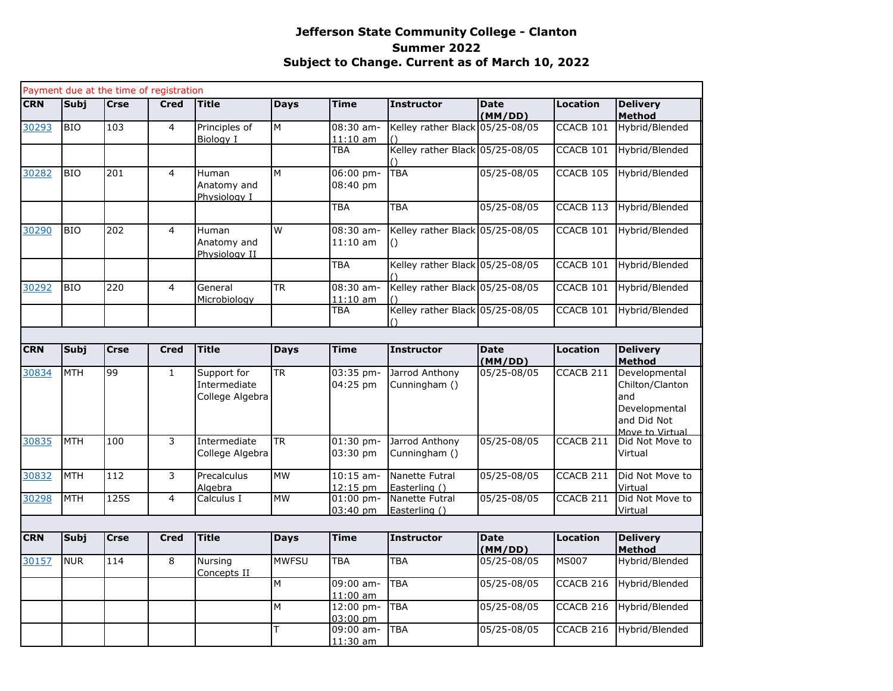## **Jefferson State Community College - Clanton Summer 2022 Subject to Change. Current as of March 10, 2022**

|            |             |             | Payment due at the time of registration |                                                |                |                           |                                                     |                        |                      |                                                                                            |
|------------|-------------|-------------|-----------------------------------------|------------------------------------------------|----------------|---------------------------|-----------------------------------------------------|------------------------|----------------------|--------------------------------------------------------------------------------------------|
| <b>CRN</b> | <b>Subj</b> | <b>Crse</b> | <b>Cred</b>                             | <b>Title</b>                                   | <b>Days</b>    | <b>Time</b>               | <b>Instructor</b>                                   | <b>Date</b><br>(MM/DD) | <b>Location</b>      | <b>Delivery</b><br><b>Method</b>                                                           |
| 30293      | <b>BIO</b>  | 103         | $\overline{4}$                          | Principles of<br>Biology I                     | M              | $08:30$ am-<br>$11:10$ am | Kelley rather Black 05/25-08/05                     |                        | CCACB <sub>101</sub> | Hybrid/Blended                                                                             |
|            |             |             |                                         |                                                |                | <b>TBA</b>                | Kelley rather Black 05/25-08/05                     |                        | CCACB <sub>101</sub> | Hybrid/Blended                                                                             |
| 30282      | <b>BIO</b>  | 201         | 4                                       | Human<br>Anatomy and<br>Physiology I           | М              | 06:00 pm-<br>08:40 pm     | <b>TBA</b>                                          | 05/25-08/05            | CCACB 105            | Hybrid/Blended                                                                             |
|            |             |             |                                         |                                                |                | TBA                       | <b>TBA</b>                                          | 05/25-08/05            | CCACB 113            | Hybrid/Blended                                                                             |
| 30290      | <b>BIO</b>  | 202         | $\overline{4}$                          | Human<br>Anatomy and<br>Physiology II          | $\overline{W}$ | 08:30 am-<br>$11:10$ am   | Kelley rather Black 05/25-08/05<br>$\left( \right)$ |                        | CCACB 101            | Hybrid/Blended                                                                             |
|            |             |             |                                         |                                                |                | <b>TBA</b>                | Kelley rather Black 05/25-08/05                     |                        | CCACB 101            | Hybrid/Blended                                                                             |
| 30292      | <b>BIO</b>  | 220         | $\overline{4}$                          | General<br>Microbiology                        | <b>TR</b>      | $08:30$ am-<br>$11:10$ am | Kelley rather Black 05/25-08/05                     |                        | CCACB 101            | Hybrid/Blended                                                                             |
|            |             |             |                                         |                                                |                | TBA                       | Kelley rather Black 05/25-08/05<br>$\left(\right)$  |                        | CCACB 101            | Hybrid/Blended                                                                             |
|            |             |             |                                         |                                                |                |                           |                                                     |                        |                      |                                                                                            |
| <b>CRN</b> | Subj        | Crse        | Cred                                    | <b>Title</b>                                   | <b>Days</b>    | <b>Time</b>               | Instructor                                          | <b>Date</b><br>(MM/DD) | <b>Location</b>      | <b>Delivery</b><br><b>Method</b>                                                           |
| 30834      | <b>MTH</b>  | 99          | $\mathbf{1}$                            | Support for<br>Intermediate<br>College Algebra | <b>TR</b>      | 03:35 pm-<br>04:25 pm     | Jarrod Anthony<br>Cunningham ()                     | 05/25-08/05            | CCACB 211            | Developmental<br>Chilton/Clanton<br>and<br>Developmental<br>and Did Not<br>Move to Virtual |
| 30835      | <b>MTH</b>  | 100         | 3                                       | Intermediate<br>College Algebra                | <b>TR</b>      | $01:30$ pm-<br>03:30 pm   | Jarrod Anthony<br>Cunningham ()                     | 05/25-08/05            | CCACB <sub>211</sub> | Did Not Move to<br>Virtual                                                                 |
| 30832      | <b>MTH</b>  | 112         | 3                                       | Precalculus<br>Algebra                         | <b>MW</b>      | $10:15$ am-<br>$12:15$ pm | Nanette Futral<br>Easterling ()                     | 05/25-08/05            | CCACB 211            | Did Not Move to<br>Virtual                                                                 |
| 30298      | <b>MTH</b>  | <b>125S</b> | 4                                       | Calculus I                                     | <b>MW</b>      | $01:00$ pm-<br>$03:40$ pm | Nanette Futral<br>Easterling ()                     | 05/25-08/05            | CCACB <sub>211</sub> | Did Not Move to<br>Virtual                                                                 |
|            |             |             |                                         |                                                |                |                           |                                                     |                        |                      |                                                                                            |
| <b>CRN</b> | <b>Subj</b> | <b>Crse</b> | <b>Cred</b>                             | <b>Title</b>                                   | <b>Days</b>    | <b>Time</b>               | Instructor                                          | <b>Date</b><br>(MM/DD) | <b>Location</b>      | <b>Delivery</b><br><b>Method</b>                                                           |
| 30157      | <b>NUR</b>  | 114         | 8                                       | Nursing<br>Concepts II                         | <b>MWFSU</b>   | TBA                       | <b>TBA</b>                                          | 05/25-08/05            | <b>MS007</b>         | Hybrid/Blended                                                                             |
|            |             |             |                                         |                                                | М              | 09:00 am-<br>$11:00$ am   | <b>TBA</b>                                          | 05/25-08/05            | CCACB <sub>216</sub> | Hybrid/Blended                                                                             |
|            |             |             |                                         |                                                | M              | 12:00 pm-<br>03:00 pm     | <b>TBA</b>                                          | 05/25-08/05            | CCACB <sub>216</sub> | Hybrid/Blended                                                                             |
|            |             |             |                                         |                                                | T              | 09:00 am-<br>11:30 am     | <b>TBA</b>                                          | 05/25-08/05            | CCACB <sub>216</sub> | Hybrid/Blended                                                                             |